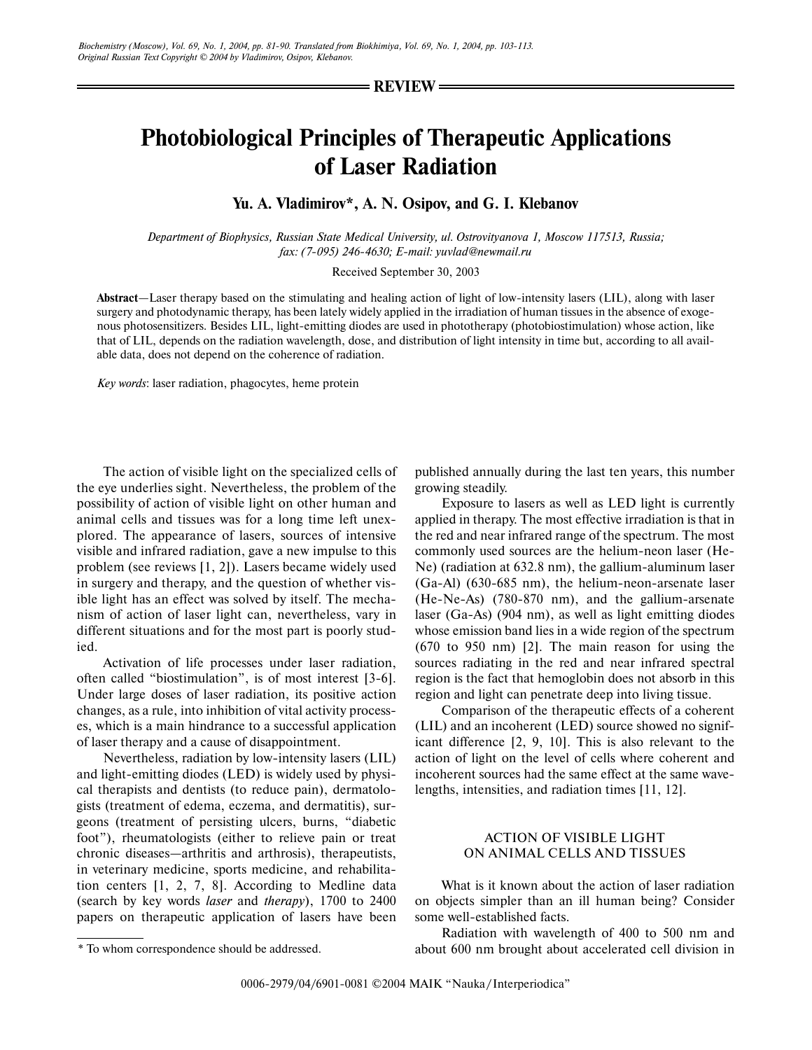#### **REVIEW**

# **Photobiological Principles of Therapeutic Applications of Laser Radiation**

# **Yu. A. Vladimirov\*, A. N. Osipov, and G. I. Klebanov**

*Department of Biophysics, Russian State Medical University, ul. Ostrovityanova 1, Moscow 117513, Russia; fax: (7-095) 246-4630; E-mail: yuvlad@newmail.ru*

#### Received September 30, 2003

**Abstract**—Laser therapy based on the stimulating and healing action of light of low-intensity lasers (LIL), along with laser surgery and photodynamic therapy, has been lately widely applied in the irradiation of human tissues in the absence of exogenous photosensitizers. Besides LIL, light-emitting diodes are used in phototherapy (photobiostimulation) whose action, like that of LIL, depends on the radiation wavelength, dose, and distribution of light intensity in time but, according to all available data, does not depend on the coherence of radiation.

*Key words*: laser radiation, phagocytes, heme protein

The action of visible light on the specialized cells of the eye underlies sight. Nevertheless, the problem of the possibility of action of visible light on other human and animal cells and tissues was for a long time left unexplored. The appearance of lasers, sources of intensive visible and infrared radiation, gave a new impulse to this problem (see reviews [1, 2]). Lasers became widely used in surgery and therapy, and the question of whether visible light has an effect was solved by itself. The mechanism of action of laser light can, nevertheless, vary in different situations and for the most part is poorly studied.

Activation of life processes under laser radiation, often called "biostimulation", is of most interest [3-6]. Under large doses of laser radiation, its positive action changes, as a rule, into inhibition of vital activity processes, which is a main hindrance to a successful application of laser therapy and a cause of disappointment.

Nevertheless, radiation by low-intensity lasers (LIL) and light-emitting diodes (LED) is widely used by physical therapists and dentists (to reduce pain), dermatologists (treatment of edema, eczema, and dermatitis), surgeons (treatment of persisting ulcers, burns, "diabetic foot"), rheumatologists (either to relieve pain or treat chronic diseases—arthritis and arthrosis), therapeutists, in veterinary medicine, sports medicine, and rehabilitation centers [1, 2, 7, 8]. According to Medline data (search by key words *laser* and *therapy*), 1700 to 2400 papers on therapeutic application of lasers have been

\* To whom correspondence should be addressed.

published annually during the last ten years, this number growing steadily.

Exposure to lasers as well as LED light is currently applied in therapy. The most effective irradiation is that in the red and near infrared range of the spectrum. The most commonly used sources are the helium-neon laser (He-Ne) (radiation at 632.8 nm), the gallium-aluminum laser (Ga-Al) (630-685 nm), the helium-neon-arsenate laser (He-Ne-As) (780-870 nm), and the gallium-arsenate laser (Ga-As) (904 nm), as well as light emitting diodes whose emission band lies in a wide region of the spectrum (670 to 950 nm) [2]. The main reason for using the sources radiating in the red and near infrared spectral region is the fact that hemoglobin does not absorb in this region and light can penetrate deep into living tissue.

Comparison of the therapeutic effects of a coherent (LIL) and an incoherent (LED) source showed no significant difference [2, 9, 10]. This is also relevant to the action of light on the level of cells where coherent and incoherent sources had the same effect at the same wavelengths, intensities, and radiation times [11, 12].

# ACTION OF VISIBLE LIGHT ON ANIMAL CELLS AND TISSUES

What is it known about the action of laser radiation on objects simpler than an ill human being? Consider some well-established facts.

Radiation with wavelength of 400 to 500 nm and about 600 nm brought about accelerated cell division in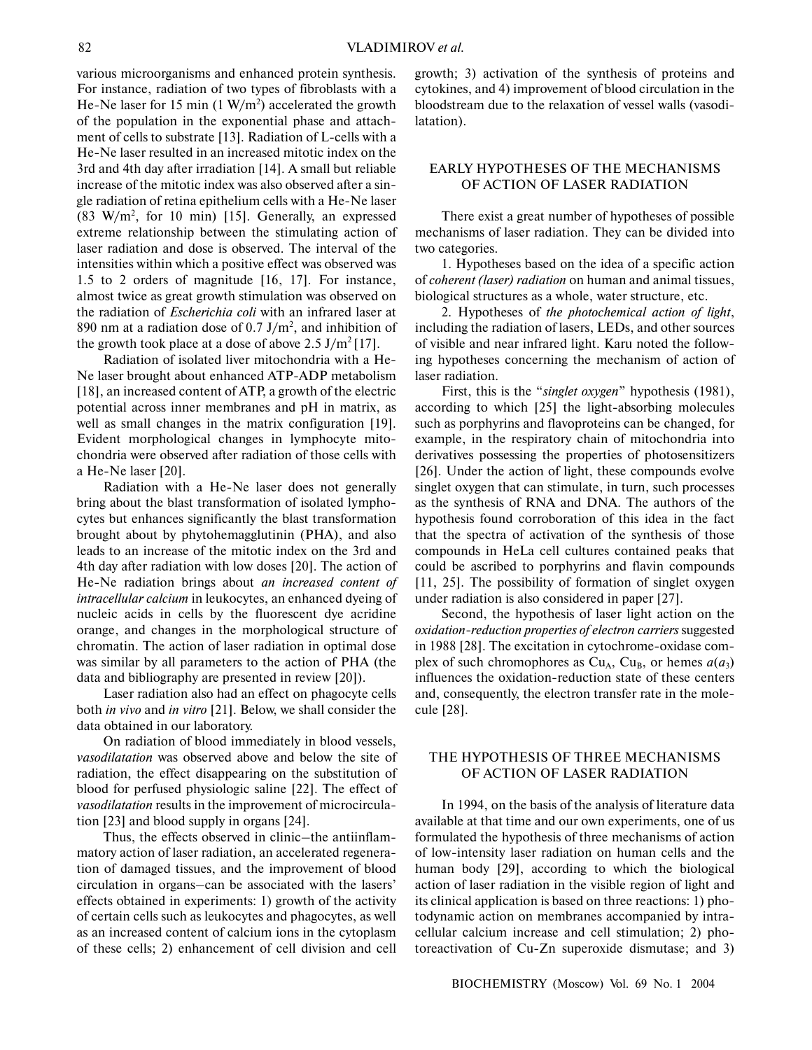various microorganisms and enhanced protein synthesis. For instance, radiation of two types of fibroblasts with a He-Ne laser for 15 min  $(1 \text{ W/m}^2)$  accelerated the growth of the population in the exponential phase and attachment of cells to substrate [13]. Radiation of L-cells with a He-Ne laser resulted in an increased mitotic index on the 3rd and 4th day after irradiation [14]. A small but reliable increase of the mitotic index was also observed after a single radiation of retina epithelium cells with a He-Ne laser  $(83 \text{ W/m}^2, \text{ for } 10 \text{ min})$  [15]. Generally, an expressed extreme relationship between the stimulating action of laser radiation and dose is observed. The interval of the intensities within which a positive effect was observed was 1.5 to 2 orders of magnitude [16, 17]. For instance, almost twice as great growth stimulation was observed on the radiation of *Escherichia coli* with an infrared laser at 890 nm at a radiation dose of 0.7 J/m<sup>2</sup>, and inhibition of the growth took place at a dose of above  $2.5 \text{ J/m}^2$  [17].

Radiation of isolated liver mitochondria with a He-Ne laser brought about enhanced ATP-ADP metabolism [18], an increased content of ATP, a growth of the electric potential across inner membranes and pH in matrix, as well as small changes in the matrix configuration [19]. Evident morphological changes in lymphocyte mitochondria were observed after radiation of those cells with a He-Ne laser [20].

Radiation with a He-Ne laser does not generally bring about the blast transformation of isolated lymphocytes but enhances significantly the blast transformation brought about by phytohemagglutinin (PHA), and also leads to an increase of the mitotic index on the 3rd and 4th day after radiation with low doses [20]. The action of He-Ne radiation brings about *an increased content of intracellular calcium* in leukocytes, an enhanced dyeing of nucleic acids in cells by the fluorescent dye acridine orange, and changes in the morphological structure of chromatin. The action of laser radiation in optimal dose was similar by all parameters to the action of PHA (the data and bibliography are presented in review [20]).

Laser radiation also had an effect on phagocyte cells both *in vivo* and *in vitro* [21]. Below, we shall consider the data obtained in our laboratory.

On radiation of blood immediately in blood vessels, *vasodilatation* was observed above and below the site of radiation, the effect disappearing on the substitution of blood for perfused physiologic saline [22]. The effect of *vasodilatation* results in the improvement of microcirculation [23] and blood supply in organs [24].

Thus, the effects observed in clinic–the antiinflammatory action of laser radiation, an accelerated regeneration of damaged tissues, and the improvement of blood circulation in organs–can be associated with the lasers' effects obtained in experiments: 1) growth of the activity of certain cells such as leukocytes and phagocytes, as well as an increased content of calcium ions in the cytoplasm of these cells; 2) enhancement of cell division and cell growth; 3) activation of the synthesis of proteins and cytokines, and 4) improvement of blood circulation in the bloodstream due to the relaxation of vessel walls (vasodilatation).

## EARLY HYPOTHESES OF THE MECHANISMS OF ACTION OF LASER RADIATION

There exist a great number of hypotheses of possible mechanisms of laser radiation. They can be divided into two categories.

1. Hypotheses based on the idea of a specific action of *coherent (laser) radiation* on human and animal tissues, biological structures as a whole, water structure, etc.

2. Hypotheses of *the photochemical action of light*, including the radiation of lasers, LEDs, and other sources of visible and near infrared light. Karu noted the following hypotheses concerning the mechanism of action of laser radiation.

First, this is the "*singlet oxygen*" hypothesis (1981), according to which [25] the light-absorbing molecules such as porphyrins and flavoproteins can be changed, for example, in the respiratory chain of mitochondria into derivatives possessing the properties of photosensitizers [26]. Under the action of light, these compounds evolve singlet oxygen that can stimulate, in turn, such processes as the synthesis of RNA and DNA. The authors of the hypothesis found corroboration of this idea in the fact that the spectra of activation of the synthesis of those compounds in HeLa cell cultures contained peaks that could be ascribed to porphyrins and flavin compounds [11, 25]. The possibility of formation of singlet oxygen under radiation is also considered in paper [27].

Second, the hypothesis of laser light action on the *oxidation-reduction properties of electron carriers* suggested in 1988 [28]. The excitation in cytochrome-oxidase complex of such chromophores as  $Cu_A$ ,  $Cu_B$ , or hemes  $a(a_3)$ influences the oxidation-reduction state of these centers and, consequently, the electron transfer rate in the molecule [28].

# THE HYPOTHESIS OF THREE MECHANISMS OF ACTION OF LASER RADIATION

In 1994, on the basis of the analysis of literature data available at that time and our own experiments, one of us formulated the hypothesis of three mechanisms of action of low-intensity laser radiation on human cells and the human body [29], according to which the biological action of laser radiation in the visible region of light and its clinical application is based on three reactions: 1) photodynamic action on membranes accompanied by intracellular calcium increase and cell stimulation; 2) photoreactivation of Cu-Zn superoxide dismutase; and 3)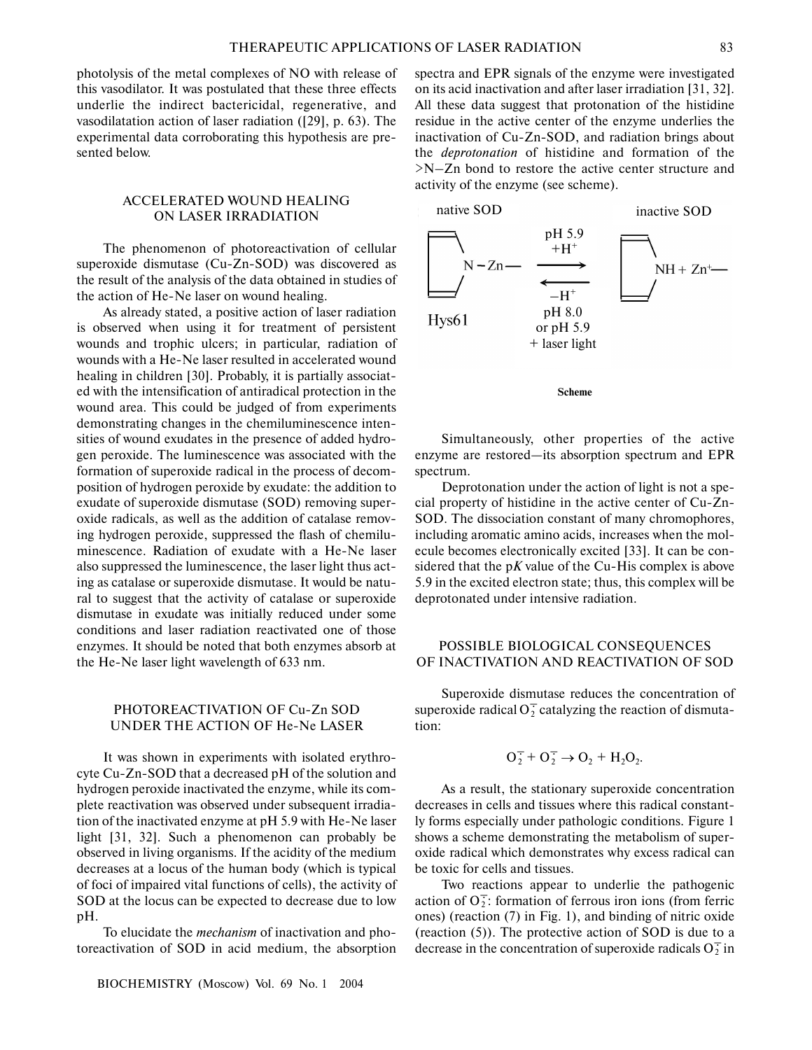photolysis of the metal complexes of NO with release of this vasodilator. It was postulated that these three effects underlie the indirect bactericidal, regenerative, and vasodilatation action of laser radiation ([29], p. 63). The experimental data corroborating this hypothesis are presented below.

## ACCELERATED WOUND HEALING ON LASER IRRADIATION

The phenomenon of photoreactivation of cellular superoxide dismutase (Cu-Zn-SOD) was discovered as the result of the analysis of the data obtained in studies of the action of He-Ne laser on wound healing.

As already stated, a positive action of laser radiation is observed when using it for treatment of persistent wounds and trophic ulcers; in particular, radiation of wounds with a He-Ne laser resulted in accelerated wound healing in children [30]. Probably, it is partially associated with the intensification of antiradical protection in the wound area. This could be judged of from experiments demonstrating changes in the chemiluminescence intensities of wound exudates in the presence of added hydrogen peroxide. The luminescence was associated with the formation of superoxide radical in the process of decomposition of hydrogen peroxide by exudate: the addition to exudate of superoxide dismutase (SOD) removing superoxide radicals, as well as the addition of catalase removing hydrogen peroxide, suppressed the flash of chemiluminescence. Radiation of exudate with a He-Ne laser also suppressed the luminescence, the laser light thus acting as catalase or superoxide dismutase. It would be natural to suggest that the activity of catalase or superoxide dismutase in exudate was initially reduced under some conditions and laser radiation reactivated one of those enzymes. It should be noted that both enzymes absorb at the He-Ne laser light wavelength of 633 nm.

## PHOTOREACTIVATION OF Cu-Zn SOD UNDER THE ACTION OF He-Ne LASER

It was shown in experiments with isolated erythrocyte Cu-Zn-SOD that a decreased pH of the solution and hydrogen peroxide inactivated the enzyme, while its complete reactivation was observed under subsequent irradiation of the inactivated enzyme at pH 5.9 with He-Ne laser light [31, 32]. Such a phenomenon can probably be observed in living organisms. If the acidity of the medium decreases at a locus of the human body (which is typical of foci of impaired vital functions of cells), the activity of SOD at the locus can be expected to decrease due to low pH.

To elucidate the *mechanism* of inactivation and photoreactivation of SOD in acid medium, the absorption spectra and EPR signals of the enzyme were investigated on its acid inactivation and after laser irradiation [31, 32]. All these data suggest that protonation of the histidine residue in the active center of the enzyme underlies the inactivation of Cu-Zn-SOD, and radiation brings about the *deprotonation* of histidine and formation of the >N–Zn bond to restore the active center structure and activity of the enzyme (see scheme).



**Scheme**

Simultaneously, other properties of the active enzyme are restored—its absorption spectrum and EPR spectrum.

Deprotonation under the action of light is not a special property of histidine in the active center of Cu-Zn-SOD. The dissociation constant of many chromophores, including aromatic amino acids, increases when the molecule becomes electronically excited [33]. It can be considered that the p*K* value of the Cu-His complex is above 5.9 in the excited electron state; thus, this complex will be deprotonated under intensive radiation.

## POSSIBLE BIOLOGICAL CONSEQUENCES OF INACTIVATION AND REACTIVATION OF SOD

Superoxide dismutase reduces the concentration of superoxide radical  $O_2^{\top}$  catalyzing the reaction of dismutation:

$$
O_2^+ + O_2^+ \rightarrow O_2 + H_2O_2.
$$

As a result, the stationary superoxide concentration decreases in cells and tissues where this radical constantly forms especially under pathologic conditions. Figure 1 shows a scheme demonstrating the metabolism of superoxide radical which demonstrates why excess radical can be toxic for cells and tissues.

Two reactions appear to underlie the pathogenic action of  $O_2^{\frac{1}{2}}$ : formation of ferrous iron ions (from ferric ones) (reaction (7) in Fig. 1), and binding of nitric oxide (reaction (5)). The protective action of SOD is due to a decrease in the concentration of superoxide radicals  $O_2^+$  in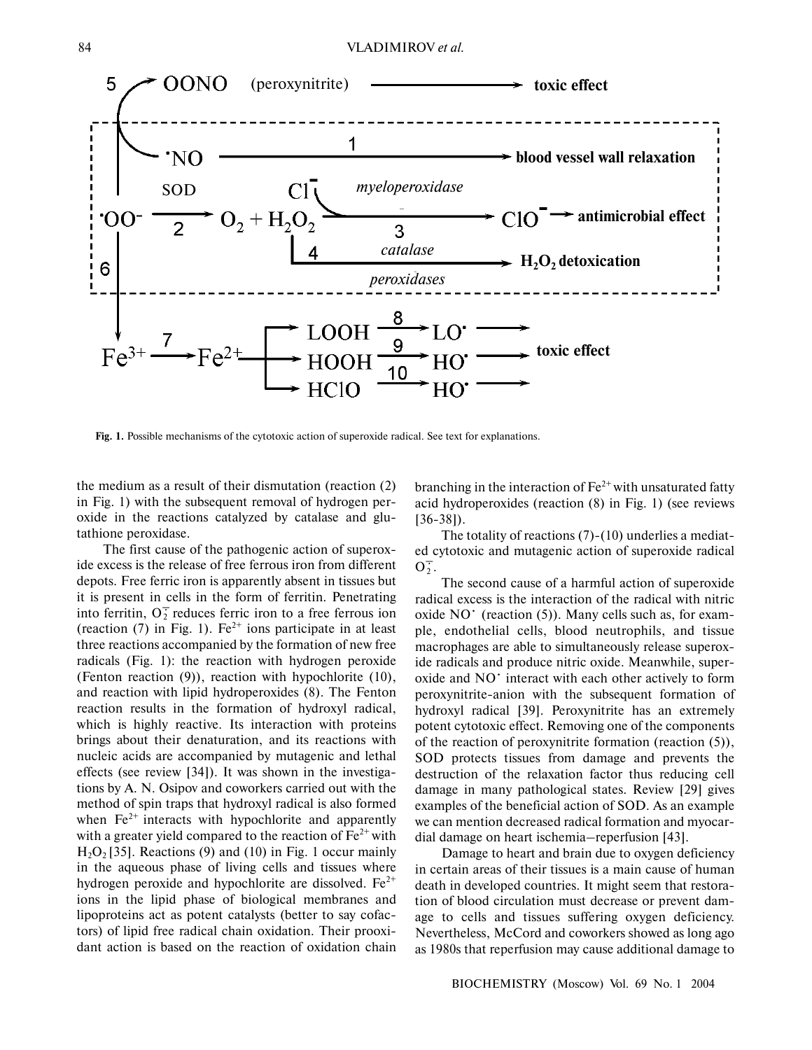

**Fig. 1.** Possible mechanisms of the cytotoxic action of superoxide radical. See text for explanations.

the medium as a result of their dismutation (reaction (2) in Fig. 1) with the subsequent removal of hydrogen peroxide in the reactions catalyzed by catalase and glutathione peroxidase.

The first cause of the pathogenic action of superoxide excess is the release of free ferrous iron from different depots. Free ferric iron is apparently absent in tissues but it is present in cells in the form of ferritin. Penetrating into ferritin,  $O_2^T$  reduces ferric iron to a free ferrous ion (reaction  $(7)$  in Fig. 1). Fe<sup>2+</sup> ions participate in at least three reactions accompanied by the formation of new free radicals (Fig. 1): the reaction with hydrogen peroxide (Fenton reaction (9)), reaction with hypochlorite (10), and reaction with lipid hydroperoxides (8). The Fenton reaction results in the formation of hydroxyl radical, which is highly reactive. Its interaction with proteins brings about their denaturation, and its reactions with nucleic acids are accompanied by mutagenic and lethal effects (see review [34]). It was shown in the investigations by A. N. Osipov and coworkers carried out with the method of spin traps that hydroxyl radical is also formed when  $Fe<sup>2+</sup>$  interacts with hypochlorite and apparently with a greater yield compared to the reaction of  $Fe^{2+}$  with  $H<sub>2</sub>O<sub>2</sub>$  [35]. Reactions (9) and (10) in Fig. 1 occur mainly in the aqueous phase of living cells and tissues where hydrogen peroxide and hypochlorite are dissolved.  $Fe^{2+}$ ions in the lipid phase of biological membranes and lipoproteins act as potent catalysts (better to say cofactors) of lipid free radical chain oxidation. Their prooxidant action is based on the reaction of oxidation chain

branching in the interaction of  $\text{Fe}^{2+}$  with unsaturated fatty acid hydroperoxides (reaction (8) in Fig. 1) (see reviews [36-38]).

The totality of reactions (7)-(10) underlies a mediated cytotoxic and mutagenic action of superoxide radical  $\overline{O_2^+}$ .

The second cause of a harmful action of superoxide radical excess is the interaction of the radical with nitric oxide  $NO<sup>+</sup>$  (reaction (5)). Many cells such as, for example, endothelial cells, blood neutrophils, and tissue macrophages are able to simultaneously release superoxide radicals and produce nitric oxide. Meanwhile, superoxide and NO<sup>·</sup> interact with each other actively to form peroxynitrite-anion with the subsequent formation of hydroxyl radical [39]. Peroxynitrite has an extremely potent cytotoxic effect. Removing one of the components of the reaction of peroxynitrite formation (reaction (5)), SOD protects tissues from damage and prevents the destruction of the relaxation factor thus reducing cell damage in many pathological states. Review [29] gives examples of the beneficial action of SOD. As an example we can mention decreased radical formation and myocardial damage on heart ischemia–reperfusion [43].

Damage to heart and brain due to oxygen deficiency in certain areas of their tissues is a main cause of human death in developed countries. It might seem that restoration of blood circulation must decrease or prevent damage to cells and tissues suffering oxygen deficiency. Nevertheless, McCord and coworkers showed as long ago as 1980s that reperfusion may cause additional damage to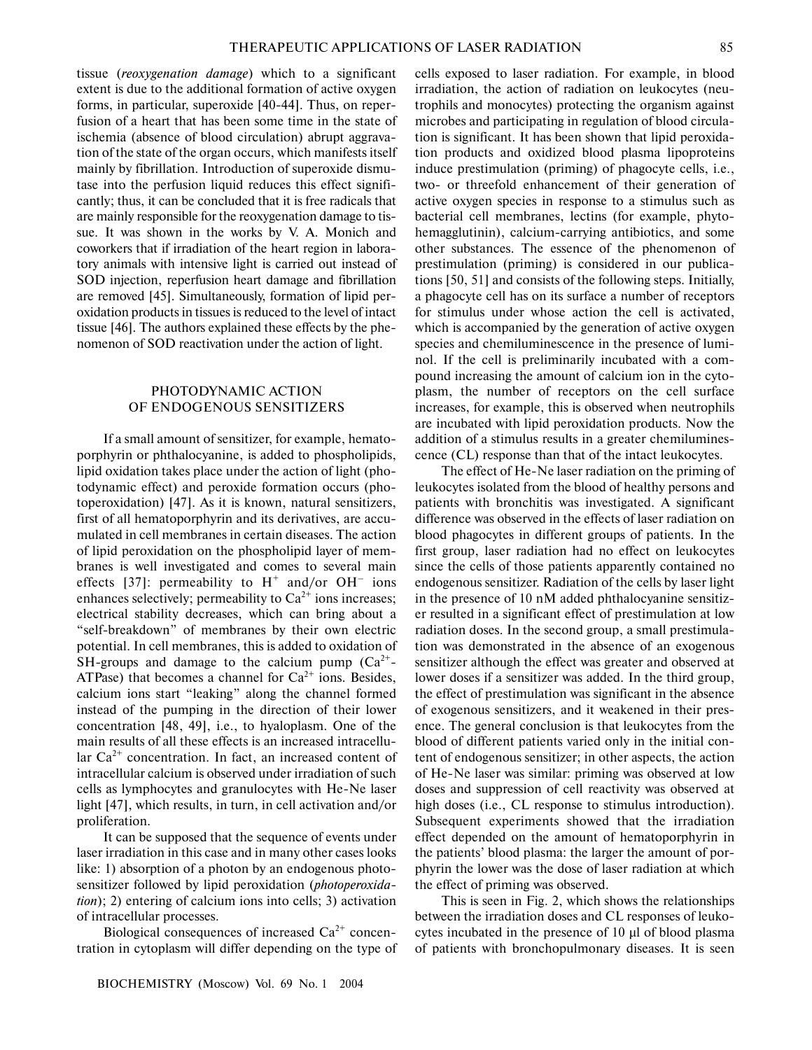tissue (*reoxygenation damage*) which to a significant extent is due to the additional formation of active oxygen forms, in particular, superoxide [40-44]. Thus, on reperfusion of a heart that has been some time in the state of ischemia (absence of blood circulation) abrupt aggravation of the state of the organ occurs, which manifests itself mainly by fibrillation. Introduction of superoxide dismutase into the perfusion liquid reduces this effect significantly; thus, it can be concluded that it is free radicals that are mainly responsible for the reoxygenation damage to tissue. It was shown in the works by V. A. Monich and coworkers that if irradiation of the heart region in laboratory animals with intensive light is carried out instead of SOD injection, reperfusion heart damage and fibrillation are removed [45]. Simultaneously, formation of lipid peroxidation products in tissues is reduced to the level of intact tissue [46]. The authors explained these effects by the phenomenon of SOD reactivation under the action of light.

#### PHOTODYNAMIC ACTION OF ENDOGENOUS SENSITIZERS

If a small amount of sensitizer, for example, hematoporphyrin or phthalocyanine, is added to phospholipids, lipid oxidation takes place under the action of light (photodynamic effect) and peroxide formation occurs (photoperoxidation) [47]. As it is known, natural sensitizers, first of all hematoporphyrin and its derivatives, are accumulated in cell membranes in certain diseases. The action of lipid peroxidation on the phospholipid layer of membranes is well investigated and comes to several main effects [37]: permeability to  $H^+$  and/or OH<sup>-</sup> ions enhances selectively; permeability to  $Ca^{2+}$  ions increases; electrical stability decreases, which can bring about a "self-breakdown" of membranes by their own electric potential. In cell membranes, this is added to oxidation of SH-groups and damage to the calcium pump  $(Ca^{2+} -$ ATPase) that becomes a channel for  $Ca^{2+}$  ions. Besides, calcium ions start "leaking" along the channel formed instead of the pumping in the direction of their lower concentration [48, 49], i.e., to hyaloplasm. One of the main results of all these effects is an increased intracellular  $Ca^{2+}$  concentration. In fact, an increased content of intracellular calcium is observed under irradiation of such cells as lymphocytes and granulocytes with He-Ne laser light [47], which results, in turn, in cell activation and/or proliferation.

It can be supposed that the sequence of events under laser irradiation in this case and in many other cases looks like: 1) absorption of a photon by an endogenous photosensitizer followed by lipid peroxidation (*photoperoxidation*); 2) entering of calcium ions into cells; 3) activation of intracellular processes.

Biological consequences of increased  $Ca<sup>2+</sup>$  concentration in cytoplasm will differ depending on the type of cells exposed to laser radiation. For example, in blood irradiation, the action of radiation on leukocytes (neutrophils and monocytes) protecting the organism against microbes and participating in regulation of blood circulation is significant. It has been shown that lipid peroxidation products and oxidized blood plasma lipoproteins induce prestimulation (priming) of phagocyte cells, i.e., two- or threefold enhancement of their generation of active oxygen species in response to a stimulus such as bacterial cell membranes, lectins (for example, phytohemagglutinin), calcium-carrying antibiotics, and some other substances. The essence of the phenomenon of prestimulation (priming) is considered in our publications [50, 51] and consists of the following steps. Initially, a phagocyte cell has on its surface a number of receptors for stimulus under whose action the cell is activated, which is accompanied by the generation of active oxygen species and chemiluminescence in the presence of luminol. If the cell is preliminarily incubated with a compound increasing the amount of calcium ion in the cytoplasm, the number of receptors on the cell surface increases, for example, this is observed when neutrophils are incubated with lipid peroxidation products. Now the addition of a stimulus results in a greater chemiluminescence (CL) response than that of the intact leukocytes.

The effect of He-Ne laser radiation on the priming of leukocytes isolated from the blood of healthy persons and patients with bronchitis was investigated. A significant difference was observed in the effects of laser radiation on blood phagocytes in different groups of patients. In the first group, laser radiation had no effect on leukocytes since the cells of those patients apparently contained no endogenous sensitizer. Radiation of the cells by laser light in the presence of 10 nM added phthalocyanine sensitizer resulted in a significant effect of prestimulation at low radiation doses. In the second group, a small prestimulation was demonstrated in the absence of an exogenous sensitizer although the effect was greater and observed at lower doses if a sensitizer was added. In the third group, the effect of prestimulation was significant in the absence of exogenous sensitizers, and it weakened in their presence. The general conclusion is that leukocytes from the blood of different patients varied only in the initial content of endogenous sensitizer; in other aspects, the action of He-Ne laser was similar: priming was observed at low doses and suppression of cell reactivity was observed at high doses (i.e., CL response to stimulus introduction). Subsequent experiments showed that the irradiation effect depended on the amount of hematoporphyrin in the patients' blood plasma: the larger the amount of porphyrin the lower was the dose of laser radiation at which the effect of priming was observed.

This is seen in Fig. 2, which shows the relationships between the irradiation doses and CL responses of leukocytes incubated in the presence of 10 µl of blood plasma of patients with bronchopulmonary diseases. It is seen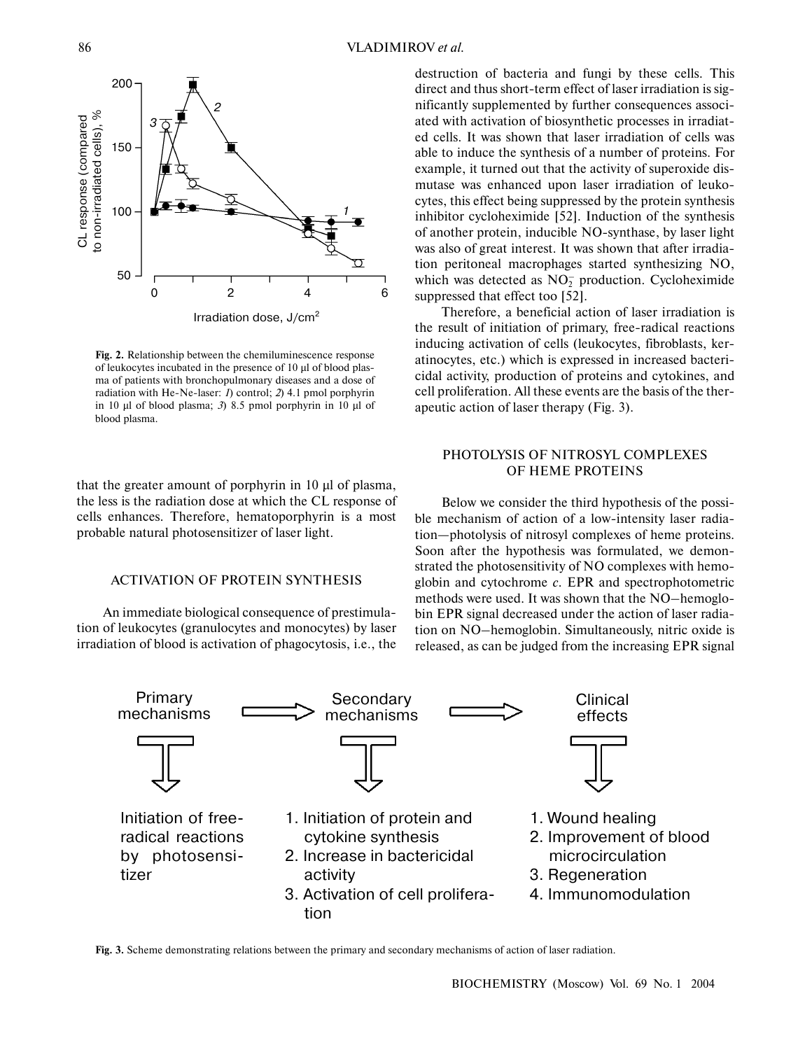

**Fig. 2.** Relationship between the chemiluminescence response of leukocytes incubated in the presence of 10 µl of blood plasma of patients with bronchopulmonary diseases and a dose of radiation with He-Ne-laser: *1*) control; *2*) 4.1 pmol porphyrin in 10 µl of blood plasma; *3*) 8.5 pmol porphyrin in 10 µl of blood plasma.

that the greater amount of porphyrin in 10 µl of plasma, the less is the radiation dose at which the CL response of cells enhances. Therefore, hematoporphyrin is a most probable natural photosensitizer of laser light.

#### ACTIVATION OF PROTEIN SYNTHESIS

An immediate biological consequence of prestimulation of leukocytes (granulocytes and monocytes) by laser irradiation of blood is activation of phagocytosis, i.e., the destruction of bacteria and fungi by these cells. This direct and thus short-term effect of laser irradiation is significantly supplemented by further consequences associated with activation of biosynthetic processes in irradiated cells. It was shown that laser irradiation of cells was able to induce the synthesis of a number of proteins. For example, it turned out that the activity of superoxide dismutase was enhanced upon laser irradiation of leukocytes, this effect being suppressed by the protein synthesis inhibitor cycloheximide [52]. Induction of the synthesis of another protein, inducible NO-synthase, by laser light was also of great interest. It was shown that after irradiation peritoneal macrophages started synthesizing NO, which was detected as  $NO<sub>2</sub><sup>-</sup>$  production. Cycloheximide suppressed that effect too [52].

Therefore, a beneficial action of laser irradiation is the result of initiation of primary, free-radical reactions inducing activation of cells (leukocytes, fibroblasts, keratinocytes, etc.) which is expressed in increased bactericidal activity, production of proteins and cytokines, and cell proliferation. All these events are the basis of the therapeutic action of laser therapy (Fig. 3).

# PHOTOLYSIS OF NITROSYL COMPLEXES OF HEME PROTEINS

Below we consider the third hypothesis of the possible mechanism of action of a low-intensity laser radiation—photolysis of nitrosyl complexes of heme proteins. Soon after the hypothesis was formulated, we demonstrated the photosensitivity of NO complexes with hemoglobin and cytochrome *c*. EPR and spectrophotometric methods were used. It was shown that the NO–hemoglobin EPR signal decreased under the action of laser radiation on NO–hemoglobin. Simultaneously, nitric oxide is released, as can be judged from the increasing EPR signal



**Fig. 3.** Scheme demonstrating relations between the primary and secondary mechanisms of action of laser radiation.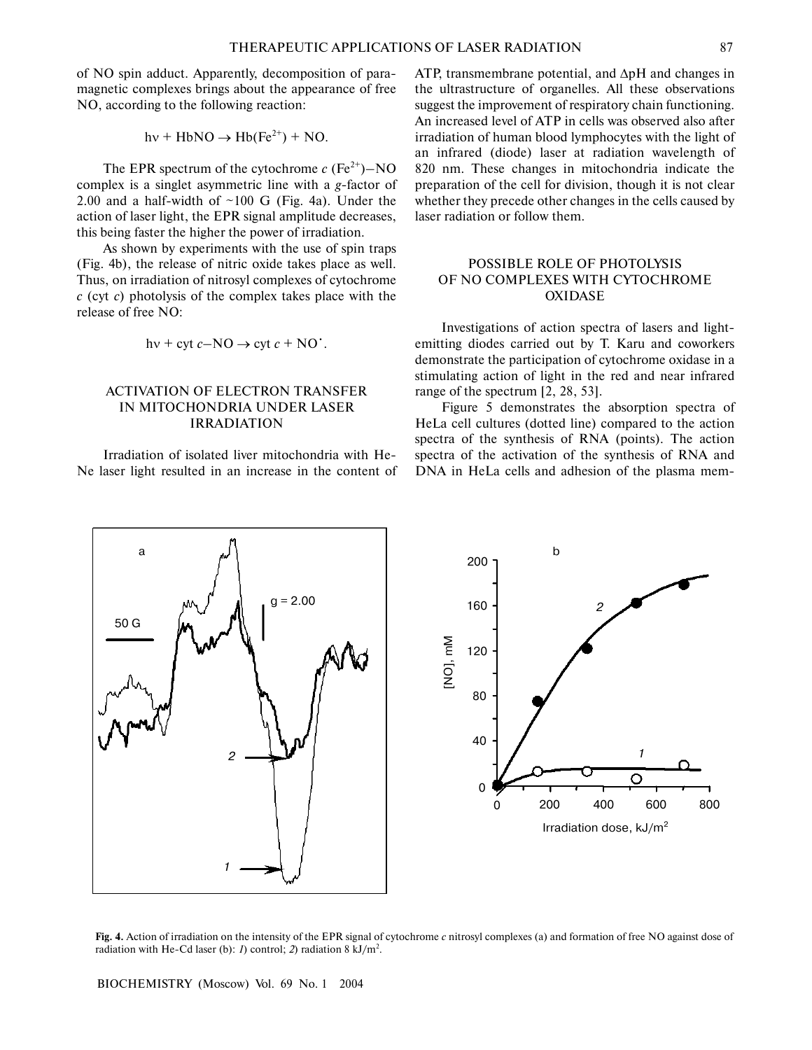1

2

of NO spin adduct. Apparently, decomposition of paramagnetic complexes brings about the appearance of free NO, according to the following reaction:

$$
hv + HbNO \rightarrow Hb(Fe^{2+}) + NO.
$$

The EPR spectrum of the cytochrome  $c$  (Fe<sup>2+</sup>)–NO complex is a singlet asymmetric line with a *g*-factor of 2.00 and a half-width of  $\sim$ 100 G (Fig. 4a). Under the action of laser light, the EPR signal amplitude decreases, this being faster the higher the power of irradiation.

As shown by experiments with the use of spin traps (Fig. 4b), the release of nitric oxide takes place as well. Thus, on irradiation of nitrosyl complexes of cytochrome *c* (cyt *c*) photolysis of the complex takes place with the release of free NO:

$$
hv + cyt c-NO \rightarrow cyt c + NO'
$$
.

## ACTIVATION OF ELECTRON TRANSFER IN MITOCHONDRIA UNDER LASER IRRADIATION

Irradiation of isolated liver mitochondria with He-Ne laser light resulted in an increase in the content of

 $g = 2.00$ 

a

50 G

ATP, transmembrane potential, and ∆pH and changes in the ultrastructure of organelles. All these observations suggest the improvement of respiratory chain functioning. An increased level of ATP in cells was observed also after irradiation of human blood lymphocytes with the light of an infrared (diode) laser at radiation wavelength of 820 nm. These changes in mitochondria indicate the preparation of the cell for division, though it is not clear whether they precede other changes in the cells caused by laser radiation or follow them.

# POSSIBLE ROLE OF PHOTOLYSIS OF NO COMPLEXES WITH CYTOCHROME OXIDASE

Investigations of action spectra of lasers and lightemitting diodes carried out by T. Karu and coworkers demonstrate the participation of cytochrome oxidase in a stimulating action of light in the red and near infrared range of the spectrum [2, 28, 53].

Figure 5 demonstrates the absorption spectra of HeLa cell cultures (dotted line) compared to the action spectra of the synthesis of RNA (points). The action spectra of the activation of the synthesis of RNA and DNA in HeLa cells and adhesion of the plasma mem-



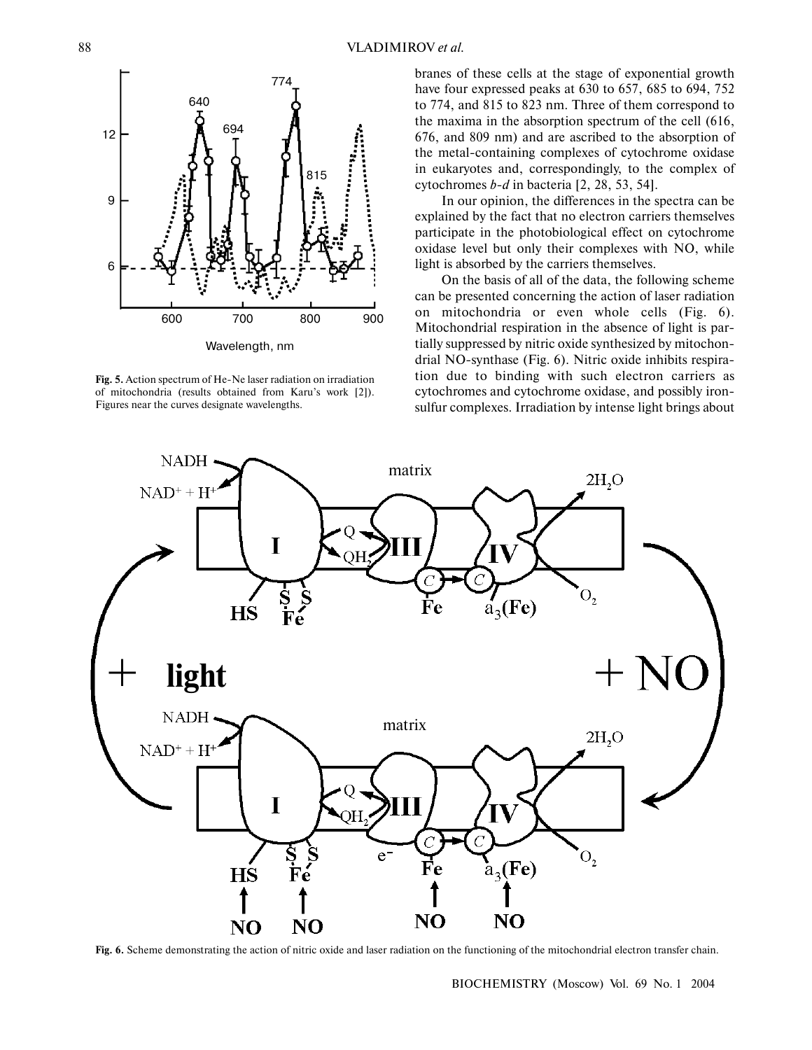

**Fig. 5.** Action spectrum of He-Ne laser radiation on irradiation of mitochondria (results obtained from Karu's work [2]). Figures near the curves designate wavelengths.

branes of these cells at the stage of exponential growth have four expressed peaks at 630 to 657, 685 to 694, 752 to 774, and 815 to 823 nm. Three of them correspond to the maxima in the absorption spectrum of the cell (616, 676, and 809 nm) and are ascribed to the absorption of the metal-containing complexes of cytochrome oxidase in eukaryotes and, correspondingly, to the complex of cytochromes *b-d* in bacteria [2, 28, 53, 54].

In our opinion, the differences in the spectra can be explained by the fact that no electron carriers themselves participate in the photobiological effect on cytochrome oxidase level but only their complexes with NO, while light is absorbed by the carriers themselves.

On the basis of all of the data, the following scheme can be presented concerning the action of laser radiation on mitochondria or even whole cells (Fig. 6). Mitochondrial respiration in the absence of light is partially suppressed by nitric oxide synthesized by mitochondrial NO-synthase (Fig. 6). Nitric oxide inhibits respiration due to binding with such electron carriers as cytochromes and cytochrome oxidase, and possibly ironsulfur complexes. Irradiation by intense light brings about



**Fig. 6.** Scheme demonstrating the action of nitric oxide and laser radiation on the functioning of the mitochondrial electron transfer chain.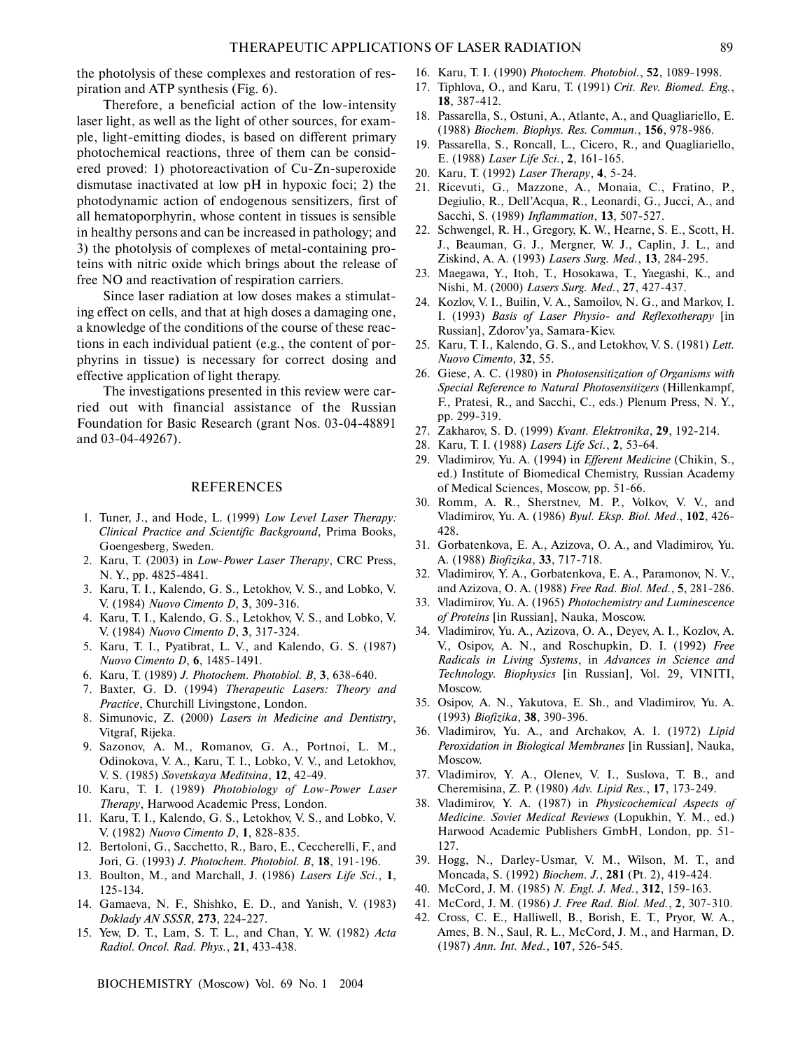the photolysis of these complexes and restoration of respiration and ATP synthesis (Fig. 6).

Therefore, a beneficial action of the low-intensity laser light, as well as the light of other sources, for example, light-emitting diodes, is based on different primary photochemical reactions, three of them can be considered proved: 1) photoreactivation of Cu-Zn-superoxide dismutase inactivated at low pH in hypoxic foci; 2) the photodynamic action of endogenous sensitizers, first of all hematoporphyrin, whose content in tissues is sensible in healthy persons and can be increased in pathology; and 3) the photolysis of complexes of metal-containing proteins with nitric oxide which brings about the release of free NO and reactivation of respiration carriers.

Since laser radiation at low doses makes a stimulating effect on cells, and that at high doses a damaging one, a knowledge of the conditions of the course of these reactions in each individual patient (e.g., the content of porphyrins in tissue) is necessary for correct dosing and effective application of light therapy.

The investigations presented in this review were carried out with financial assistance of the Russian Foundation for Basic Research (grant Nos. 03-04-48891 and 03-04-49267).

#### REFERENCES

- 1. Tuner, J., and Hode, L. (1999) *Low Level Laser Therapy: Clinical Practice and Scientific Background*, Prima Books, Goengesberg, Sweden.
- 2. Karu, T. (2003) in *Low-Power Laser Therapy*, CRC Press, N. Y., pp. 4825-4841.
- 3. Karu, T. I., Kalendo, G. S., Letokhov, V. S., and Lobko, V. V. (1984) *Nuovo Cimento D*, **3**, 309-316.
- 4. Karu, T. I., Kalendo, G. S., Letokhov, V. S., and Lobko, V. V. (1984) *Nuovo Cimento D*, **3**, 317-324.
- 5. Karu, T. I., Pyatibrat, L. V., and Kalendo, G. S. (1987) *Nuovo Cimento D*, **6**, 1485-1491.
- 6. Karu, T. (1989) *J. Photochem. Photobiol. B*, **3**, 638-640.
- 7. Baxter, G. D. (1994) *Therapeutic Lasers: Theory and Practice*, Churchill Livingstone, London.
- 8. Simunovic, Z. (2000) *Lasers in Medicine and Dentistry*, Vitgraf, Rijeka.
- 9. Sazonov, A. M., Romanov, G. A., Portnoi, L. M., Odinokova, V. A., Karu, T. I., Lobko, V. V., and Letokhov, V. S. (1985) *Sovetskaya Meditsina*, **12**, 42-49.
- 10. Karu, T. I. (1989) *Photobiology of Low-Power Laser Therapy*, Harwood Academic Press, London.
- 11. Karu, T. I., Kalendo, G. S., Letokhov, V. S., and Lobko, V. V. (1982) *Nuovo Cimento D*, **1**, 828-835.
- 12. Bertoloni, G., Sacchetto, R., Baro, E., Ceccherelli, F., and Jori, G. (1993) *J. Photochem. Photobiol. B*, **18**, 191-196.
- 13. Boulton, M., and Marchall, J. (1986) *Lasers Life Sci.*, **1**, 125-134.
- 14. Gamaeva, N. F., Shishko, E. D., and Yanish, V. (1983) *Doklady AN SSSR*, **273**, 224-227.
- 15. Yew, D. T., Lam, S. T. L., and Chan, Y. W. (1982) *Acta Radiol. Oncol. Rad. Phys.*, **21**, 433-438.
- 16. Karu, T. I. (1990) *Photochem. Photobiol.*, **52**, 1089-1998.
- 17. Tiphlova, O., and Karu, T. (1991) *Crit. Rev. Biomed. Eng.*, **18**, 387-412.
- 18. Passarella, S., Ostuni, A., Atlante, A., and Quagliariello, E. (1988) *Biochem. Biophys. Res. Commun.*, **156**, 978-986.
- 19. Passarella, S., Roncall, L., Cicero, R., and Quagliariello, E. (1988) *Laser Life Sci.*, **2**, 161-165.
- 20. Karu, T. (1992) *Laser Therapy*, **4**, 5-24.
- 21. Ricevuti, G., Mazzone, A., Monaia, C., Fratino, P., Degiulio, R., Dell'Acqua, R., Leonardi, G., Jucci, A., and Sacchi, S. (1989) *Inflammation*, **13**, 507-527.
- 22. Schwengel, R. H., Gregory, K. W., Hearne, S. E., Scott, H. J., Beauman, G. J., Mergner, W. J., Caplin, J. L., and Ziskind, A. A. (1993) *Lasers Surg. Med.*, **13**, 284-295.
- 23. Maegawa, Y., Itoh, T., Hosokawa, T., Yaegashi, K., and Nishi, M. (2000) *Lasers Surg. Med.*, **27**, 427-437.
- 24. Kozlov, V. I., Builin, V. A., Samoilov, N. G., and Markov, I. I. (1993) *Basis of Laser Physio- and Reflexotherapy* [in Russian], Zdorov'ya, Samara-Kiev.
- 25. Karu, T. I., Kalendo, G. S., and Letokhov, V. S. (1981) *Lett. Nuovo Cimento*, **32**, 55.
- 26. Giese, A. C. (1980) in *Photosensitization of Organisms with Special Reference to Natural Photosensitizers* (Hillenkampf, F., Pratesi, R., and Sacchi, C., eds.) Plenum Press, N. Y., pp. 299-319.
- 27. Zakharov, S. D. (1999) *Kvant. Elektronika*, **29**, 192-214.
- 28. Karu, T. I. (1988) *Lasers Life Sci.*, **2**, 53-64.
- 29. Vladimirov, Yu. A. (1994) in *Efferent Medicine* (Chikin, S., ed.) Institute of Biomedical Chemistry, Russian Academy of Medical Sciences, Moscow, pp. 51-66.
- 30. Romm, A. R., Sherstnev, M. P., Volkov, V. V., and Vladimirov, Yu. A. (1986) *Byul. Eksp. Biol. Med*., **102**, 426- 428.
- 31. Gorbatenkova, E. A., Azizova, O. A., and Vladimirov, Yu. A. (1988) *Biofizika*, **33**, 717-718.
- 32. Vladimirov, Y. A., Gorbatenkova, E. A., Paramonov, N. V., and Azizova, O. A. (1988) *Free Rad. Biol. Med.*, **5**, 281-286.
- 33. Vladimirov, Yu. A. (1965) *Photochemistry and Luminescence of Proteins* [in Russian], Nauka, Moscow.
- 34. Vladimirov, Yu. A., Azizova, O. A., Deyev, A. I., Kozlov, A. V., Osipov, A. N., and Roschupkin, D. I. (1992) *Free Radicals in Living Systems*, in *Advances in Science and Technology. Biophysics* [in Russian], Vol. 29, VINITI, Moscow.
- 35. Osipov, A. N., Yakutova, E. Sh., and Vladimirov, Yu. A. (1993) *Biofizika*, **38**, 390-396.
- 36. Vladimirov, Yu. A., and Archakov, A. I. (1972) *Lipid Peroxidation in Biological Membranes* [in Russian], Nauka, Moscow.
- 37. Vladimirov, Y. A., Olenev, V. I., Suslova, T. B., and Cheremisina, Z. P. (1980) *Adv. Lipid Res.*, **17**, 173-249.
- 38. Vladimirov, Y. A. (1987) in *Physicochemical Aspects of Medicine. Soviet Medical Reviews* (Lopukhin, Y. M., ed.) Harwood Academic Publishers GmbH, London, pp. 51- 127.
- 39. Hogg, N., Darley-Usmar, V. M., Wilson, M. T., and Moncada, S. (1992) *Biochem. J.*, **281** (Pt. 2), 419-424.
- 40. McCord, J. M. (1985) *N. Engl. J. Med.*, **312**, 159-163.
- 41. McCord, J. M. (1986) *J. Free Rad. Biol. Med.*, **2**, 307-310.
- 42. Cross, C. E., Halliwell, B., Borish, E. T., Pryor, W. A., Ames, B. N., Saul, R. L., McCord, J. M., and Harman, D. (1987) *Ann. Int. Med.*, **107**, 526-545.